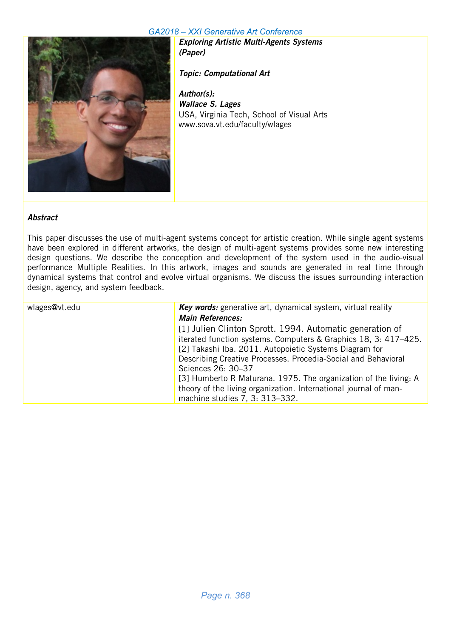

Exploring Artistic Multi-Agents Systems (Paper)

Topic: Computational Art

Author(s): Wallace S. Lages USA, Virginia Tech, School of Visual Arts www.sova.vt.edu/faculty/wlages

#### Abstract

This paper discusses the use of multi-agent systems concept for artistic creation. While single agent systems have been explored in different artworks, the design of multi-agent systems provides some new interesting design questions. We describe the conception and development of the system used in the audio-visual performance Multiple Realities. In this artwork, images and sounds are generated in real time through dynamical systems that control and evolve virtual organisms. We discuss the issues surrounding interaction design, agency, and system feedback.

| wlages@vt.edu | Key words: generative art, dynamical system, virtual reality     |
|---------------|------------------------------------------------------------------|
|               | <b>Main References:</b>                                          |
|               | [1] Julien Clinton Sprott. 1994. Automatic generation of         |
|               | iterated function systems. Computers & Graphics 18, 3: 417-425.  |
|               | [2] Takashi Iba. 2011. Autopoietic Systems Diagram for           |
|               | Describing Creative Processes. Procedia-Social and Behavioral    |
|               | Sciences 26: 30-37                                               |
|               | [3] Humberto R Maturana. 1975. The organization of the living: A |
|               | theory of the living organization. International journal of man- |
|               | machine studies 7, 3: 313-332.                                   |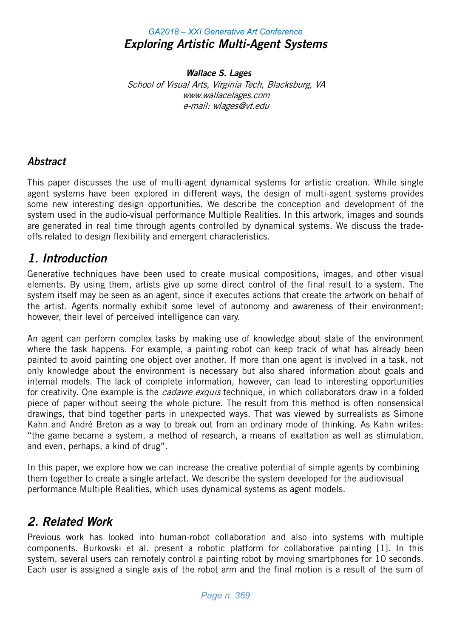## *GA2018 – XXI Generative Art Conference* Exploring Artistic Multi-Agent Systems

Wallace S. Lages School of Visual Arts, Virginia Tech, Blacksburg, VA www.wallacelages.com e-mail: wlages@vt.edu

### **Abstract**

This paper discusses the use of multi-agent dynamical systems for artistic creation. While single agent systems have been explored in different ways, the design of multi-agent systems provides some new interesting design opportunities. We describe the conception and development of the system used in the audio-visual performance Multiple Realities. In this artwork, images and sounds are generated in real time through agents controlled by dynamical systems. We discuss the tradeoffs related to design flexibility and emergent characteristics.

## 1. Introduction

Generative techniques have been used to create musical compositions, images, and other visual elements. By using them, artists give up some direct control of the final result to a system. The system itself may be seen as an agent, since it executes actions that create the artwork on behalf of the artist. Agents normally exhibit some level of autonomy and awareness of their environment; however, their level of perceived intelligence can vary.

An agent can perform complex tasks by making use of knowledge about state of the environment where the task happens. For example, a painting robot can keep track of what has already been painted to avoid painting one object over another. If more than one agent is involved in a task, not only knowledge about the environment is necessary but also shared information about goals and internal models. The lack of complete information, however, can lead to interesting opportunities for creativity. One example is the *cadavre exquis* technique, in which collaborators draw in a folded piece of paper without seeing the whole picture. The result from this method is often nonsensical drawings, that bind together parts in unexpected ways. That was viewed by surrealists as Simone Kahn and André Breton as a way to break out from an ordinary mode of thinking. As Kahn writes: "the game became a system, a method of research, a means of exaltation as well as stimulation, and even, perhaps, a kind of drug".

In this paper, we explore how we can increase the creative potential of simple agents by combining them together to create a single artefact. We describe the system developed for the audiovisual performance Multiple Realities, which uses dynamical systems as agent models.

# 2. Related Work

Previous work has looked into human-robot collaboration and also into systems with multiple components. Burkovski et al. present a robotic platform for collaborative painting [1]. In this system, several users can remotely control a painting robot by moving smartphones for 10 seconds. Each user is assigned a single axis of the robot arm and the final motion is a result of the sum of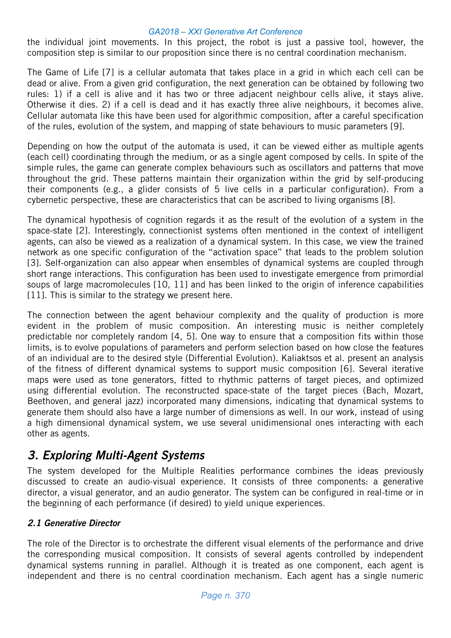the individual joint movements. In this project, the robot is just a passive tool, however, the composition step is similar to our proposition since there is no central coordination mechanism.

The Game of Life [7] is a cellular automata that takes place in a grid in which each cell can be dead or alive. From a given grid configuration, the next generation can be obtained by following two rules: 1) if a cell is alive and it has two or three adjacent neighbour cells alive, it stays alive. Otherwise it dies. 2) if a cell is dead and it has exactly three alive neighbours, it becomes alive. Cellular automata like this have been used for algorithmic composition, after a careful specification of the rules, evolution of the system, and mapping of state behaviours to music parameters [9].

Depending on how the output of the automata is used, it can be viewed either as multiple agents (each cell) coordinating through the medium, or as a single agent composed by cells. In spite of the simple rules, the game can generate complex behaviours such as oscillators and patterns that move throughout the grid. These patterns maintain their organization within the grid by self-producing their components (e.g., a glider consists of 5 live cells in a particular configuration). From a cybernetic perspective, these are characteristics that can be ascribed to living organisms [8].

The dynamical hypothesis of cognition regards it as the result of the evolution of a system in the space-state [2]. Interestingly, connectionist systems often mentioned in the context of intelligent agents, can also be viewed as a realization of a dynamical system. In this case, we view the trained network as one specific configuration of the "activation space" that leads to the problem solution [3]. Self-organization can also appear when ensembles of dynamical systems are coupled through short range interactions. This configuration has been used to investigate emergence from primordial soups of large macromolecules [10, 11] and has been linked to the origin of inference capabilities [11]. This is similar to the strategy we present here.

The connection between the agent behaviour complexity and the quality of production is more evident in the problem of music composition. An interesting music is neither completely predictable nor completely random [4, 5]. One way to ensure that a composition fits within those limits, is to evolve populations of parameters and perform selection based on how close the features of an individual are to the desired style (Differential Evolution). Kaliaktsos et al. present an analysis of the fitness of different dynamical systems to support music composition [6]. Several iterative maps were used as tone generators, fitted to rhythmic patterns of target pieces, and optimized using differential evolution. The reconstructed space-state of the target pieces (Bach, Mozart, Beethoven, and general jazz) incorporated many dimensions, indicating that dynamical systems to generate them should also have a large number of dimensions as well. In our work, instead of using a high dimensional dynamical system, we use several unidimensional ones interacting with each other as agents.

# 3. Exploring Multi-Agent Systems

The system developed for the Multiple Realities performance combines the ideas previously discussed to create an audio-visual experience. It consists of three components: a generative director, a visual generator, and an audio generator. The system can be configured in real-time or in the beginning of each performance (if desired) to yield unique experiences.

### 2.1 Generative Director

The role of the Director is to orchestrate the different visual elements of the performance and drive the corresponding musical composition. It consists of several agents controlled by independent dynamical systems running in parallel. Although it is treated as one component, each agent is independent and there is no central coordination mechanism. Each agent has a single numeric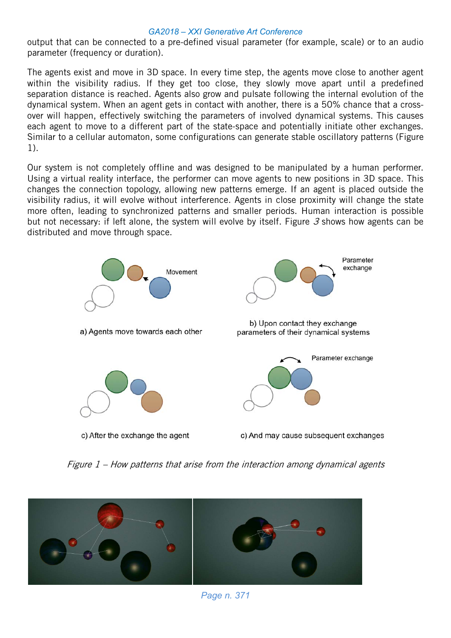output that can be connected to a pre-defined visual parameter (for example, scale) or to an audio parameter (frequency or duration).

The agents exist and move in 3D space. In every time step, the agents move close to another agent within the visibility radius. If they get too close, they slowly move apart until a predefined separation distance is reached. Agents also grow and pulsate following the internal evolution of the dynamical system. When an agent gets in contact with another, there is a 50% chance that a crossover will happen, effectively switching the parameters of involved dynamical systems. This causes each agent to move to a different part of the state-space and potentially initiate other exchanges. Similar to a cellular automaton, some configurations can generate stable oscillatory patterns (Figure 1).

Our system is not completely offline and was designed to be manipulated by a human performer. Using a virtual reality interface, the performer can move agents to new positions in 3D space. This changes the connection topology, allowing new patterns emerge. If an agent is placed outside the visibility radius, it will evolve without interference. Agents in close proximity will change the state more often, leading to synchronized patterns and smaller periods. Human interaction is possible but not necessary: if left alone, the system will evolve by itself. Figure 3 shows how agents can be distributed and move through space.



Figure 1 – How patterns that arise from the interaction among dynamical agents



*Page n. 371*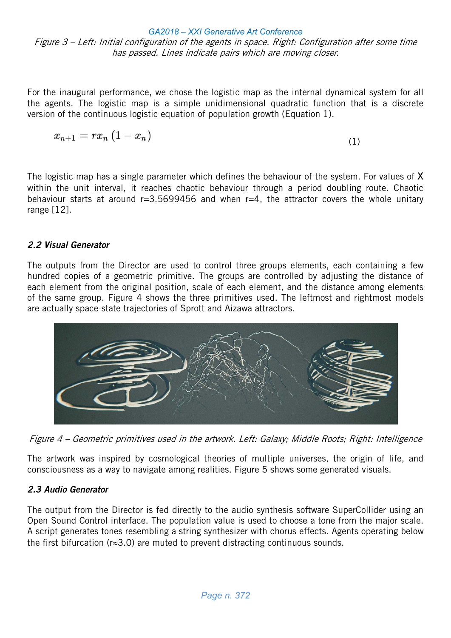*GA2018 – XXI Generative Art Conference* Figure 3 – Left: Initial configuration of the agents in space. Right: Configuration after some time has passed. Lines indicate pairs which are moving closer.

For the inaugural performance, we chose the logistic map as the internal dynamical system for all the agents. The logistic map is a simple unidimensional quadratic function that is a discrete version of the continuous logistic equation of population growth (Equation 1).

$$
x_{n+1}=rx_n\left(1-x_n\right) \hspace{4cm} (1)
$$

The logistic map has a single parameter which defines the behaviour of the system. For values of  $X$ within the unit interval, it reaches chaotic behaviour through a period doubling route. Chaotic behaviour starts at around  $r=3.5699456$  and when  $r=4$ , the attractor covers the whole unitary range [12].

### 2.2 Visual Generator

The outputs from the Director are used to control three groups elements, each containing a few hundred copies of a geometric primitive. The groups are controlled by adjusting the distance of each element from the original position, scale of each element, and the distance among elements of the same group. Figure 4 shows the three primitives used. The leftmost and rightmost models are actually space-state trajectories of Sprott and Aizawa attractors.



Figure 4 – Geometric primitives used in the artwork. Left: Galaxy; Middle Roots; Right: Intelligence

The artwork was inspired by cosmological theories of multiple universes, the origin of life, and consciousness as a way to navigate among realities. Figure 5 shows some generated visuals.

### 2.3 Audio Generator

The output from the Director is fed directly to the audio synthesis software SuperCollider using an Open Sound Control interface. The population value is used to choose a tone from the major scale. A script generates tones resembling a string synthesizer with chorus effects. Agents operating below the first bifurcation ( $r \approx 3.0$ ) are muted to prevent distracting continuous sounds.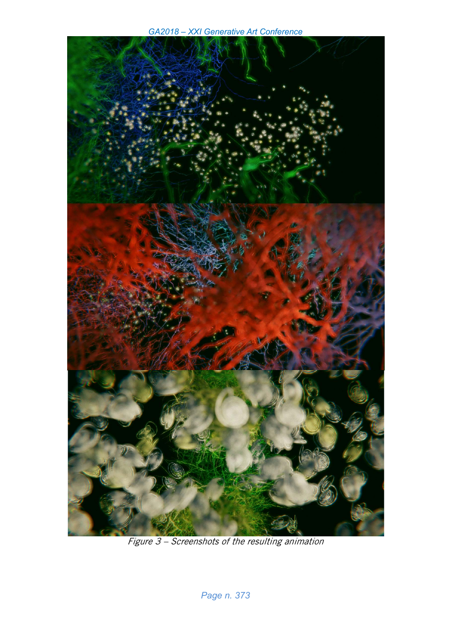*GA2018 – XXI Generative Art Conference*



Figure 3 – Screenshots of the resulting animation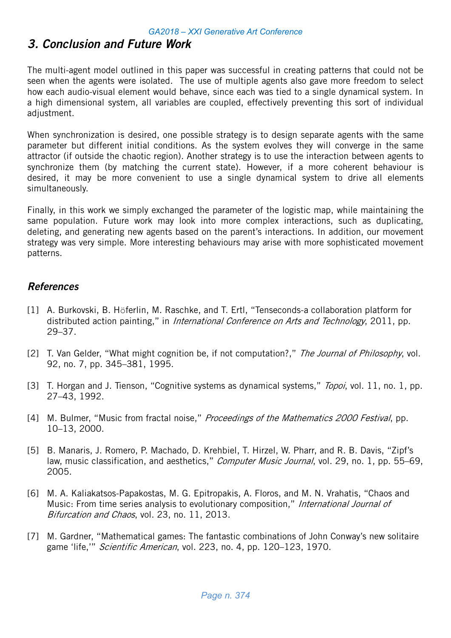# 3. Conclusion and Future Work

The multi-agent model outlined in this paper was successful in creating patterns that could not be seen when the agents were isolated. The use of multiple agents also gave more freedom to select how each audio-visual element would behave, since each was tied to a single dynamical system. In a high dimensional system, all variables are coupled, effectively preventing this sort of individual adjustment.

When synchronization is desired, one possible strategy is to design separate agents with the same parameter but different initial conditions. As the system evolves they will converge in the same attractor (if outside the chaotic region). Another strategy is to use the interaction between agents to synchronize them (by matching the current state). However, if a more coherent behaviour is desired, it may be more convenient to use a single dynamical system to drive all elements simultaneously.

Finally, in this work we simply exchanged the parameter of the logistic map, while maintaining the same population. Future work may look into more complex interactions, such as duplicating, deleting, and generating new agents based on the parent's interactions. In addition, our movement strategy was very simple. More interesting behaviours may arise with more sophisticated movement patterns.

### References

- [1] A. Burkovski, B. Höferlin, M. Raschke, and T. Ertl, "Tenseconds-a collaboration platform for distributed action painting," in International Conference on Arts and Technology, 2011, pp. 29–37.
- [2] T. Van Gelder, "What might cognition be, if not computation?," The Journal of Philosophy, vol. 92, no. 7, pp. 345–381, 1995.
- [3] T. Horgan and J. Tienson, "Cognitive systems as dynamical systems," *Topoi*, vol. 11, no. 1, pp. 27–43, 1992.
- [4] M. Bulmer, "Music from fractal noise," *Proceedings of the Mathematics 2000 Festival*, pp. 10–13, 2000.
- [5] B. Manaris, J. Romero, P. Machado, D. Krehbiel, T. Hirzel, W. Pharr, and R. B. Davis, "Zipf's law, music classification, and aesthetics," *Computer Music Journal*, vol. 29, no. 1, pp. 55–69, 2005.
- [6] M. A. Kaliakatsos-Papakostas, M. G. Epitropakis, A. Floros, and M. N. Vrahatis, "Chaos and Music: From time series analysis to evolutionary composition," International Journal of Bifurcation and Chaos, vol. 23, no. 11, 2013.
- [7] M. Gardner, "Mathematical games: The fantastic combinations of John Conway's new solitaire game 'life,'" Scientific American, vol. 223, no. 4, pp. 120-123, 1970.